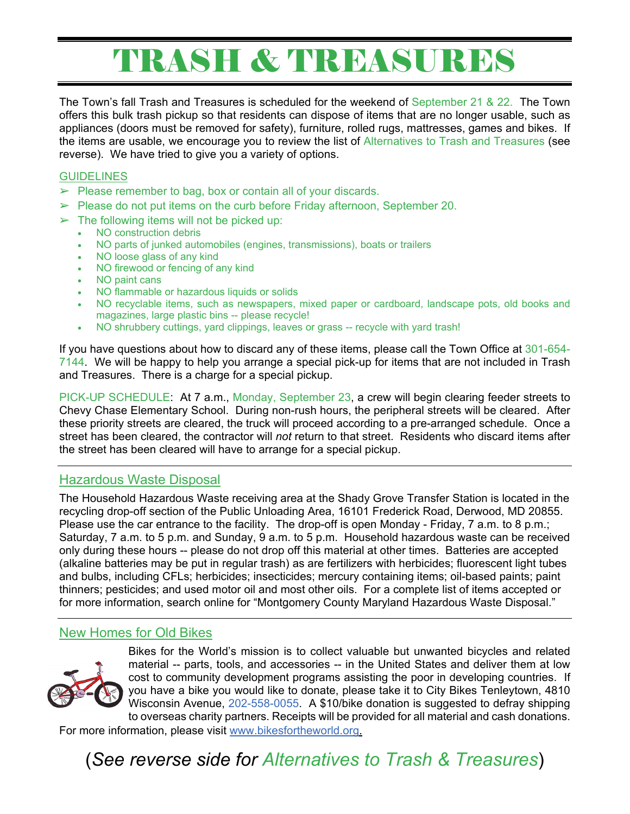# TRASH & TREASURES

The Town's fall Trash and Treasures is scheduled for the weekend of September 21 & 22. The Town offers this bulk trash pickup so that residents can dispose of items that are no longer usable, such as appliances (doors must be removed for safety), furniture, rolled rugs, mattresses, games and bikes. If the items are usable, we encourage you to review the list of Alternatives to Trash and Treasures (see reverse). We have tried to give you a variety of options.

#### **GUIDELINES**

- $\triangleright$  Please remember to bag, box or contain all of your discards.
- $\triangleright$  Please do not put items on the curb before Friday afternoon, September 20.
- $\triangleright$  The following items will not be picked up:
	- NO construction debris
	- NO parts of junked automobiles (engines, transmissions), boats or trailers
	- NO loose glass of any kind
	- NO firewood or fencing of any kind
	- NO paint cans
	- NO flammable or hazardous liquids or solids
	- NO recyclable items, such as newspapers, mixed paper or cardboard, landscape pots, old books and magazines, large plastic bins -- please recycle!
	- NO shrubbery cuttings, yard clippings, leaves or grass -- recycle with yard trash!

If you have questions about how to discard any of these items, please call the Town Office at 301-654- 7144. We will be happy to help you arrange a special pick-up for items that are not included in Trash and Treasures. There is a charge for a special pickup.

PICK-UP SCHEDULE: At 7 a.m., Monday, September 23, a crew will begin clearing feeder streets to Chevy Chase Elementary School. During non-rush hours, the peripheral streets will be cleared. After these priority streets are cleared, the truck will proceed according to a pre-arranged schedule. Once a street has been cleared, the contractor will *not* return to that street. Residents who discard items after the street has been cleared will have to arrange for a special pickup.

### Hazardous Waste Disposal

The Household Hazardous Waste receiving area at the Shady Grove Transfer Station is located in the recycling drop-off section of the Public Unloading Area, 16101 Frederick Road, Derwood, MD 20855. Please use the car entrance to the facility. The drop-off is open Monday - Friday, 7 a.m. to 8 p.m.; Saturday, 7 a.m. to 5 p.m. and Sunday, 9 a.m. to 5 p.m. Household hazardous waste can be received only during these hours -- please do not drop off this material at other times. Batteries are accepted (alkaline batteries may be put in regular trash) as are fertilizers with herbicides; fluorescent light tubes and bulbs, including CFLs; herbicides; insecticides; mercury containing items; oil-based paints; paint thinners; pesticides; and used motor oil and most other oils. For a complete list of items accepted or for more information, search online for "Montgomery County Maryland Hazardous Waste Disposal."

#### New Homes for Old Bikes



Bikes for the World's mission is to collect valuable but unwanted bicycles and related material -- parts, tools, and accessories -- in the United States and deliver them at low cost to community development programs assisting the poor in developing countries. If you have a bike you would like to donate, please take it to City Bikes Tenleytown, 4810 Wisconsin Avenue, 202-558-0055. A \$10/bike donation is suggested to defray shipping to overseas charity partners. Receipts will be provided for all material and cash donations.

For more information, please visit www.bikesfortheworld.org.

(*See reverse side for Alternatives to Trash & Treasures*)